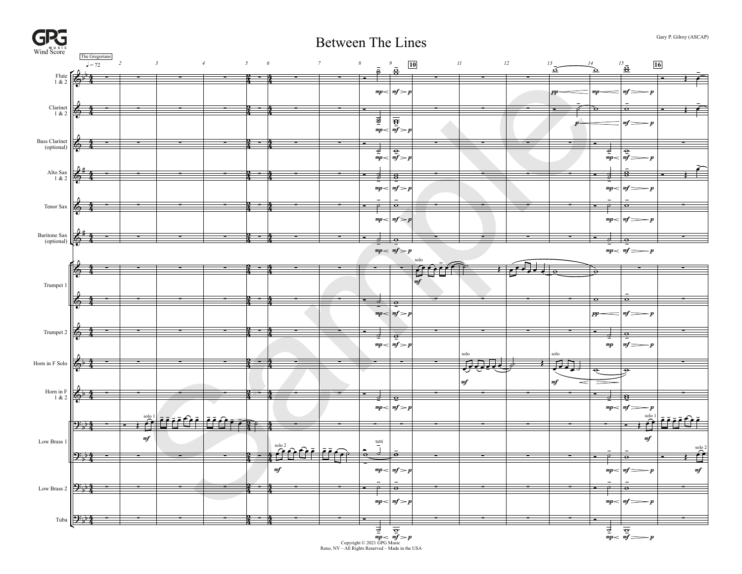

Copyright © 2021 GPG Music<br>Reno, NV – All Rights Reserved – Made in the USA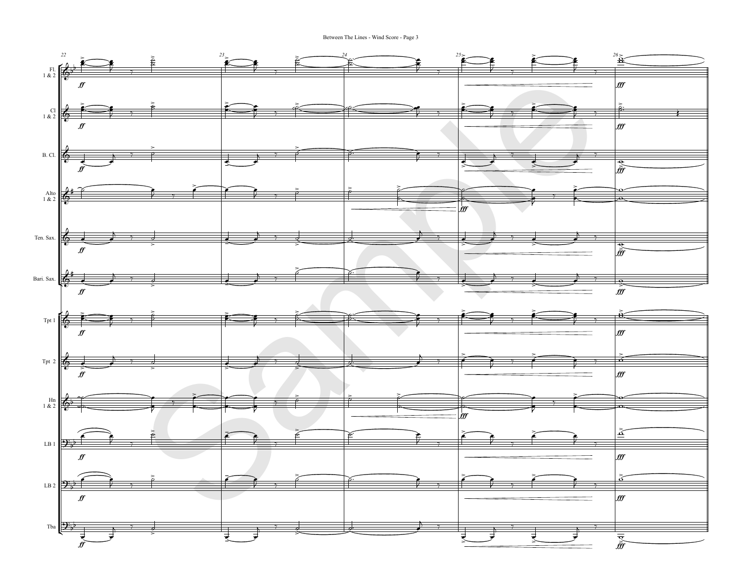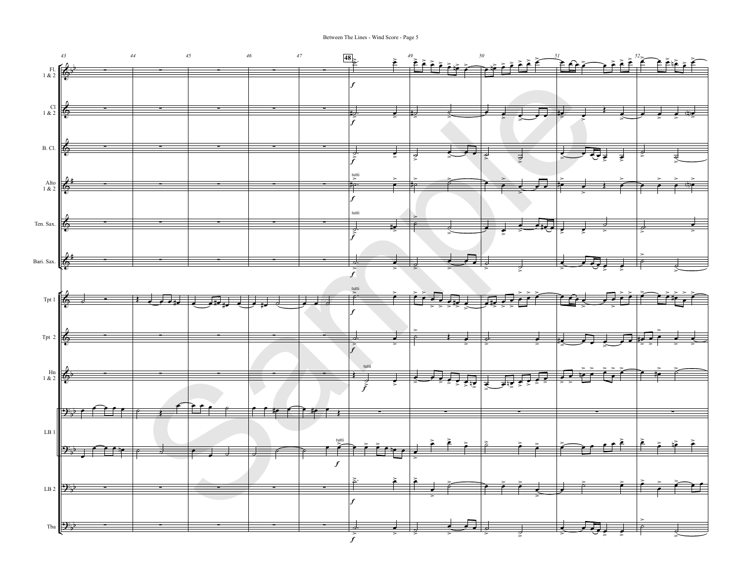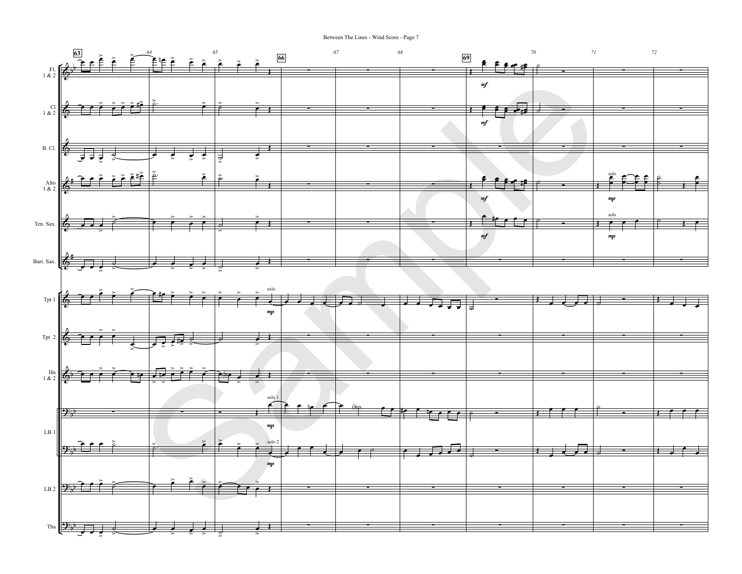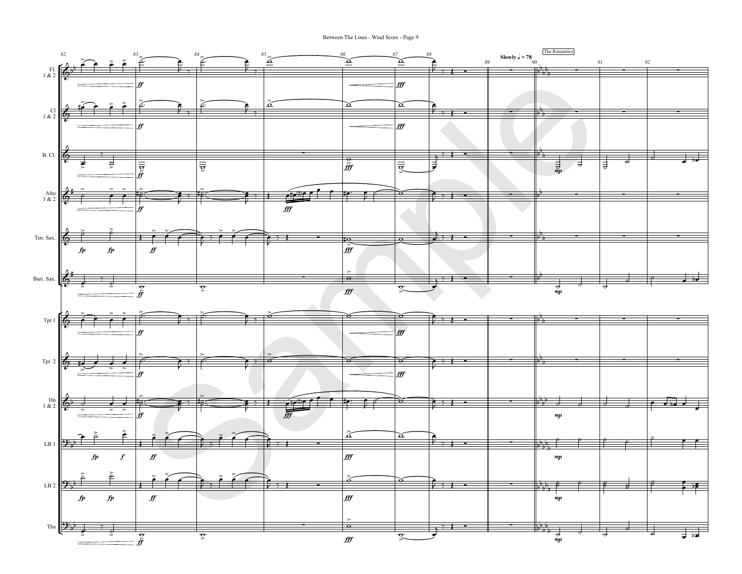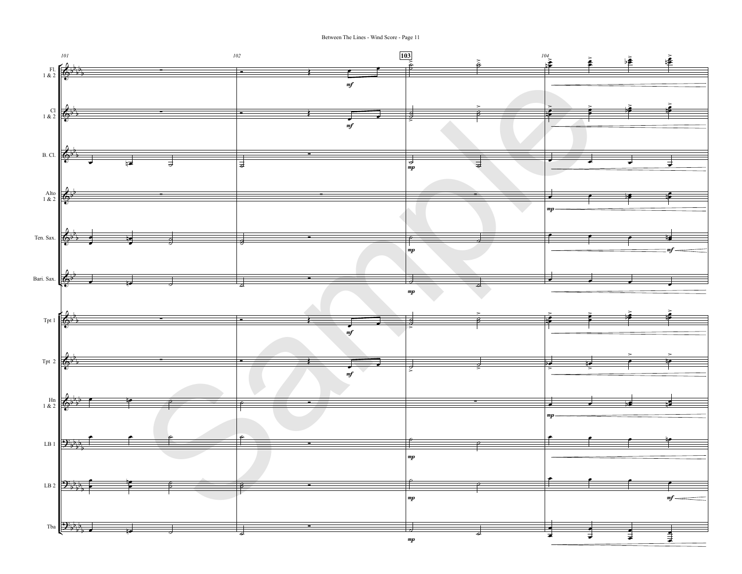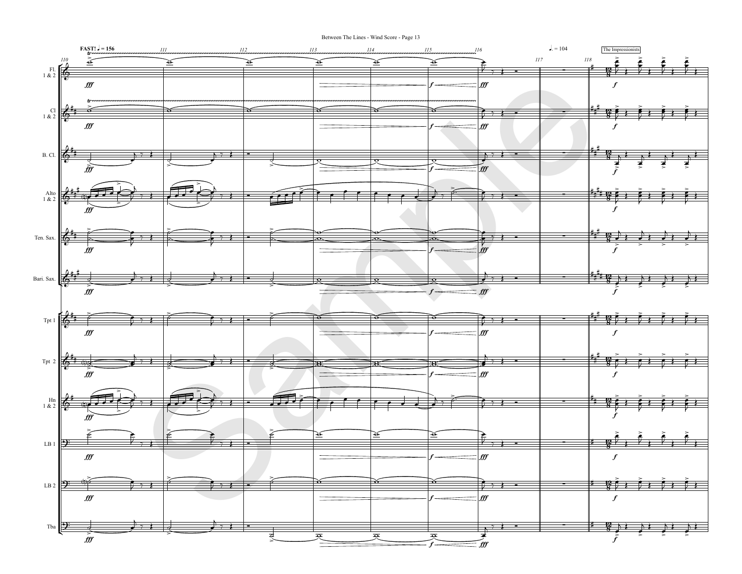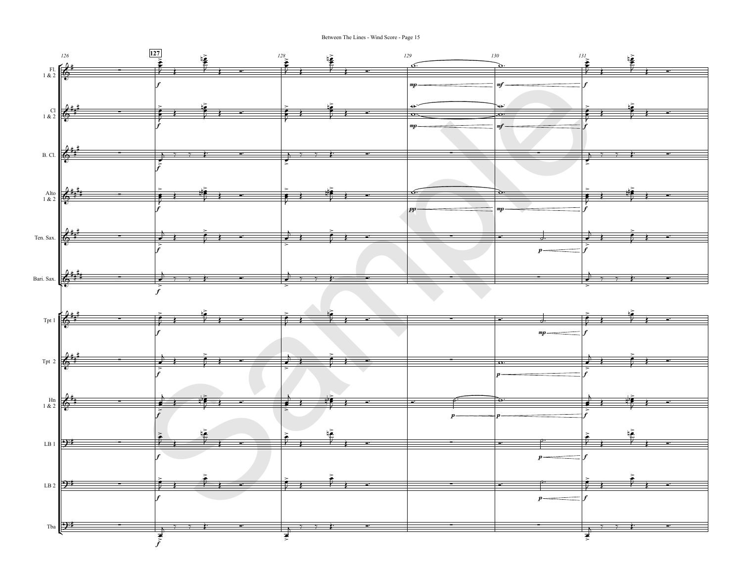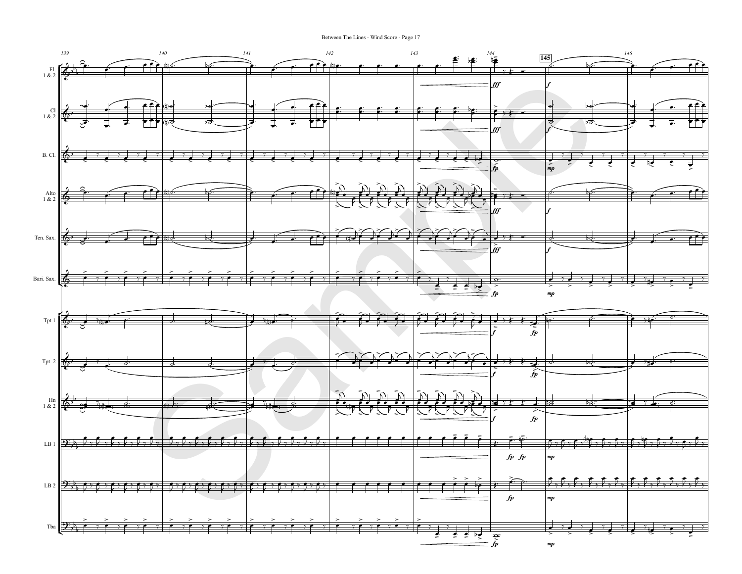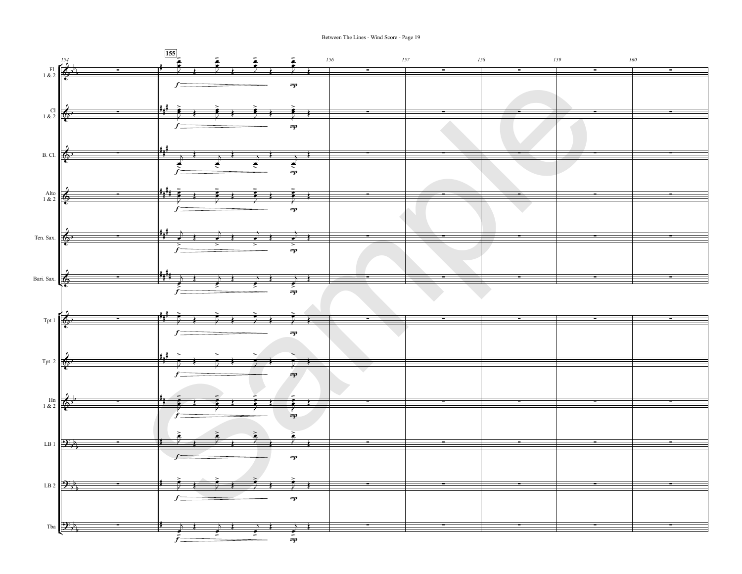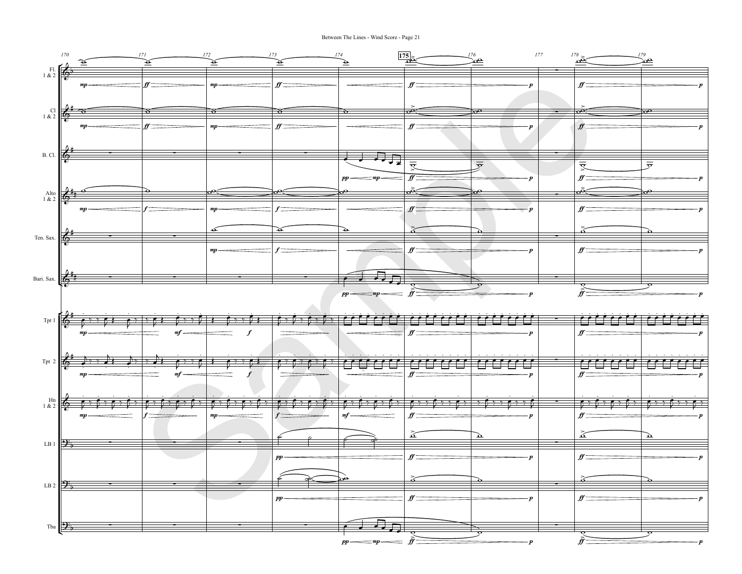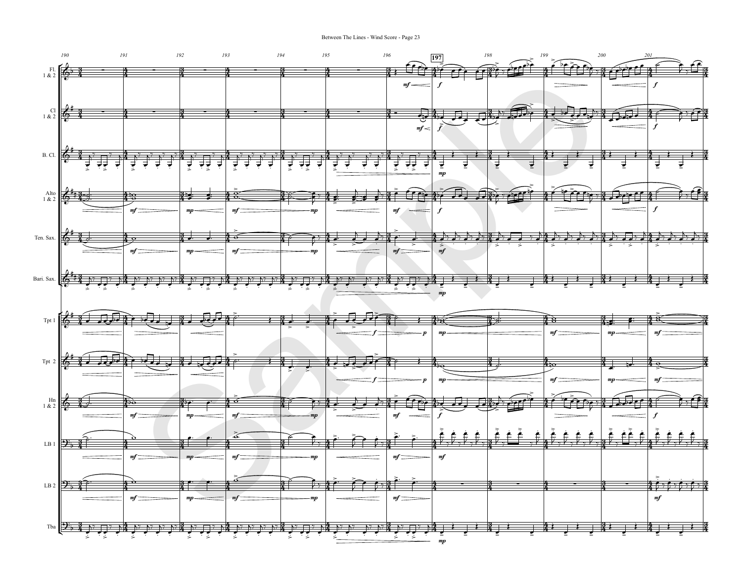Between The Lines - Wind Score - Page 23